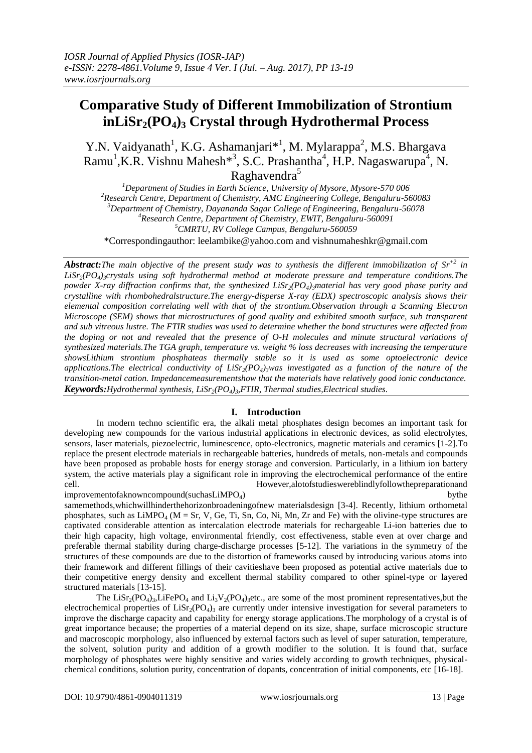# **Comparative Study of Different Immobilization of Strontium inLiSr2(PO4)<sup>3</sup> Crystal through Hydrothermal Process**

Y.N. Vaidyanath<sup>1</sup>, K.G. Ashamanjari<sup>\*1</sup>, M. Mylarappa<sup>2</sup>, M.S. Bhargava Ramu<sup>1</sup>, K.R. Vishnu Mahesh<sup>\*3</sup>, S.C. Prashantha<sup>4</sup>, H.P. Nagaswarupa<sup>4</sup>, N. Raghavendra<sup>5</sup>

*Department of Studies in Earth Science, University of Mysore, Mysore-570 006 Research Centre, Department of Chemistry, AMC Engineering College, Bengaluru-560083 Department of Chemistry, Dayananda Sagar College of Engineering, Bengaluru-56078 Research Centre, Department of Chemistry, EWIT, Bengaluru-560091 CMRTU, RV College Campus, Bengaluru-560059* \*Correspondingauthor: [leelambike@yahoo.com](mailto:leelambike@yahoo.com) and vishnumaheshkr@gmail.com

*Abstract:The main objective of the present study was to synthesis the different immobilization of Sr +2 in LiSr2(PO4)3crystals using soft hydrothermal method at moderate pressure and temperature conditions.The powder X-ray diffraction confirms that, the synthesized LiSr2(PO4)3material has very good phase purity and crystalline with [rhombohedrals](https://en.wikipedia.org/wiki/Rhombohedral_lattice_system)tructure.The energy-disperse X-ray (EDX) spectroscopic analysis shows their elemental composition correlating well with that of the strontium.Observation through a Scanning Electron Microscope (SEM) shows that microstructures of good quality and exhibited smooth surface, sub transparent and sub vitreous lustre. The FTIR studies was used to determine whether the bond structures were affected from the doping or not and revealed that the presence of O-H molecules and minute structural variations of synthesized materials.The TGA graph, temperature vs. weight % loss decreases with increasing the temperature showsLithium strontium phosphateas thermally stable so it is used as some optoelectronic device applications.The electrical conductivity of LiSr2(PO4)3was investigated as a function of the nature of the transition-metal cation. Impedancemeasurementshow that the materials have relatively good ionic conductance. Keywords:Hydrothermal synthesis, LiSr2(PO4)3,FTIR, Thermal studies,Electrical studies*.

## **I. Introduction**

In modern techno scientific era, the alkali metal phosphates design becomes an important task for developing new compounds for the various industrial applications in electronic devices, as solid electrolytes, sensors, laser materials, piezoelectric, luminescence, opto-electronics, magnetic materials and ceramics [1-2].To replace the present electrode materials in rechargeable batteries, hundreds of metals, non-metals and compounds have been proposed as probable hosts for energy storage and conversion. Particularly, in a lithium ion battery system, the active materials play a significant role in improving the electrochemical performance of the entire cell. However,alotofstudieswereblindlyfollowthepreparationand improvementofaknowncompound(suchasLiMPO<sub>4</sub>) bythe

samemethods,whichwillhinderthehorizonbroadeningofnew materialsdesign [3-4]. Recently, lithium orthometal phosphates, such as  $LimPO_4$  (M = Sr, V, Ge, Ti, Sn, Co, Ni, Mn, Zr and Fe) with the olivine-type structures are captivated considerable attention as intercalation electrode materials for rechargeable Li-ion batteries due to their high capacity, high voltage, environmental friendly, cost effectiveness, stable even at over charge and preferable thermal stability during charge-discharge processes [5-12]. The variations in the symmetry of the structures of these compounds are due to the distortion of frameworks caused by introducing various atoms into their framework and different fillings of their cavitieshave been proposed as potential active materials due to their competitive energy density and excellent thermal stability compared to other spinel-type or layered structured materials [13-15].

The  $\text{LiSr}_2(\text{PO}_4)_{3}$ , LiFePO<sub>4</sub> and  $\text{Li}_3\text{V}_2(\text{PO}_4)_{3}$  etc., are some of the most prominent representatives, but the electrochemical properties of  $Lisr_2(PO_4)$ <sub>3</sub> are currently under intensive investigation for several parameters to improve the discharge capacity and capability for energy storage applications.The morphology of a crystal is of great importance because; the properties of a material depend on its size, shape, surface microscopic structure and macroscopic morphology, also influenced by external factors such as level of super saturation, temperature, the solvent, solution purity and addition of a growth modifier to the solution. It is found that, surface morphology of phosphates were highly sensitive and varies widely according to growth techniques, physicalchemical conditions, solution purity, concentration of dopants, concentration of initial components, etc [16-18].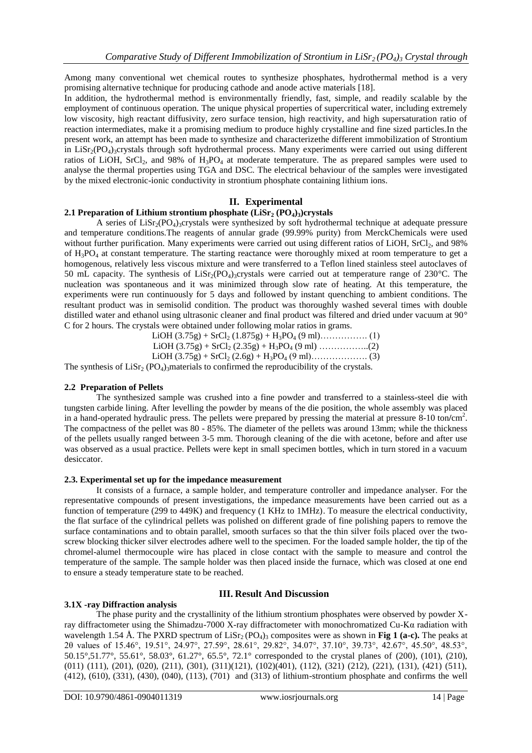Among many conventional wet chemical routes to synthesize phosphates, hydrothermal method is a very promising alternative technique for producing cathode and anode active materials [18].

In addition, the hydrothermal method is environmentally friendly, fast, simple, and readily scalable by the employment of continuous operation. The unique physical properties of supercritical water, including extremely low viscosity, high reactant diffusivity, zero surface tension, high reactivity, and high supersaturation ratio of reaction intermediates, make it a promising medium to produce highly crystalline and fine sized particles.In the present work, an attempt has been made to synthesize and characterizethe different immobilization of Strontium in LiSr<sub>2</sub>(PO<sub>4</sub>)<sub>3</sub>crystals through soft hydrothermal process. Many experiments were carried out using different ratios of LiOH,  $SrCl<sub>2</sub>$ , and 98% of  $H<sub>3</sub>PO<sub>4</sub>$  at moderate temperature. The as prepared samples were used to analyse the thermal properties using TGA and DSC. The electrical behaviour of the samples were investigated by the mixed electronic-ionic conductivity in strontium phosphate containing lithium ions.

## **II. Experimental**

## **2.1 Preparation of Lithium strontium phosphate (LiSr<sup>2</sup> (PO4)3)crystals**

A series of  $Lisr_2(PO_4)$ <sup>3</sup>crystals were synthesized by soft hydrothermal technique at adequate pressure and temperature conditions.The reagents of annular grade (99.99% purity) from MerckChemicals were used without further purification. Many experiments were carried out using different ratios of LiOH, SrCl<sub>2</sub>, and 98% of  $H_3PO_4$  at constant temperature. The starting reactance were thoroughly mixed at room temperature to get a homogenous, relatively less viscous mixture and were transferred to a Teflon lined stainless steel autoclaves of 50 mL capacity. The synthesis of LiSr<sub>2</sub>(PO<sub>4</sub>)<sub>3</sub>crystals were carried out at temperature range of 230°C. The nucleation was spontaneous and it was minimized through slow rate of heating. At this temperature, the experiments were run continuously for 5 days and followed by instant quenching to ambient conditions. The resultant product was in semisolid condition. The product was thoroughly washed several times with double distilled water and ethanol using ultrasonic cleaner and final product was filtered and dried under vacuum at 90° C for 2 hours. The crystals were obtained under following molar ratios in grams.

| $\mathsf{RO}$ ) motorials to confirmed the representative of the existals. |  |  |
|----------------------------------------------------------------------------|--|--|

The synthesis of  $Lisr_2 (PO_4)$ <sub>3</sub>materials to confirmed the reproducibility of the crystals.

## **2.2 Preparation of Pellets**

The synthesized sample was crushed into a fine powder and transferred to a stainless-steel die with tungsten carbide lining. After levelling the powder by means of the die position, the whole assembly was placed in a hand-operated hydraulic press. The pellets were prepared by pressing the material at pressure 8-10 ton**/**cm<sup>2</sup> . The compactness of the pellet was 80 - 85%. The diameter of the pellets was around 13mm; while the thickness of the pellets usually ranged between 3-5 mm. Thorough cleaning of the die with acetone, before and after use was observed as a usual practice. Pellets were kept in small specimen bottles, which in turn stored in a vacuum desiccator.

## **2.3. Experimental set up for the impedance measurement**

It consists of a furnace, a sample holder, and temperature controller and impedance analyser. For the representative compounds of present investigations, the impedance measurements have been carried out as a function of temperature (299 to 449K) and frequency (1 KHz to 1MHz). To measure the electrical conductivity, the flat surface of the cylindrical pellets was polished on different grade of fine polishing papers to remove the surface contaminations and to obtain parallel, smooth surfaces so that the thin silver foils placed over the twoscrew blocking thicker silver electrodes adhere well to the specimen. For the loaded sample holder, the tip of the chromel-alumel thermocouple wire has placed in close contact with the sample to measure and control the temperature of the sample. The sample holder was then placed inside the furnace, which was closed at one end to ensure a steady temperature state to be reached.

# **III. Result And Discussion**

## **3.1X -ray Diffraction analysis**

The phase purity and the crystallinity of the lithium strontium phosphates were observed by powder Xray diffractometer using the Shimadzu-7000 X-ray diffractometer with monochromatized Cu-Kα radiation with wavelength 1.54 Å. The PXRD spectrum of  $Lisr_2 (PO_4)_3$  composites were as shown in **Fig 1 (a-c).** The peaks at 2θ values of 15.46°, 19.51°, 24.97°, 27.59°, 28.61°, 29.82°, 34.07°, 37.10°, 39.73°, 42.67°, 45.50°, 48.53°, 50.15°,51.77°, 55.61°, 58.03°, 61.27°, 65.5°, 72.1° corresponded to the crystal planes of (200), (101), (210), (011) (111), (201), (020), (211), (301), (311)(121), (102)(401), (112), (321) (212), (221), (131), (421) (511), (412), (610), (331), (430), (040), (113), (701) and (313) of lithium-strontium phosphate and confirms the well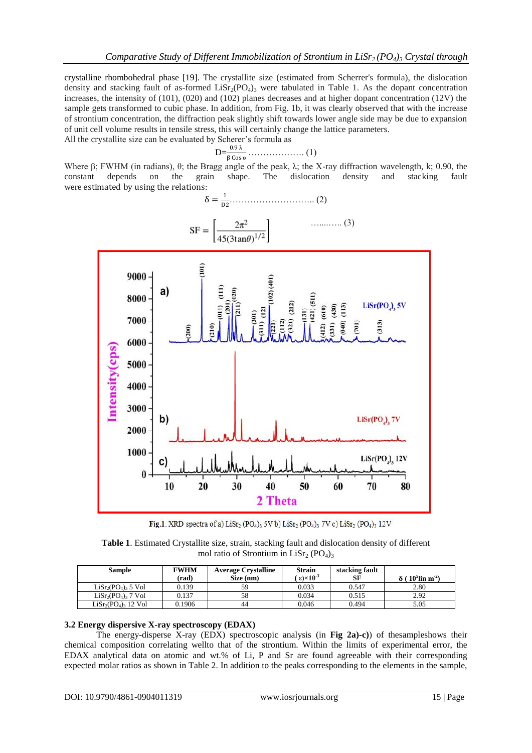crystalline [rhombohedral](https://en.wikipedia.org/wiki/Rhombohedral_lattice_system) phase [19]. The crystallite size (estimated from Scherrer's formula), the dislocation density and stacking fault of as-formed  $LIST_2(PO_4)$ <sub>3</sub> were tabulated in Table 1. As the dopant concentration increases, the intensity of  $(101)$ ,  $(020)$  and  $(102)$  planes decreases and at higher dopant concentration  $(12V)$  the sample gets transformed to cubic phase. In addition, from Fig. 1b, it was clearly observed that with the increase of strontium concentration, the diffraction peak slightly shift towards lower angle side may be due to expansion of unit cell volume results in tensile stress, this will certainly change the lattice parameters. All the crystallite size can be evaluated by Scherer's formula as

$$
D = \frac{0.9 \lambda}{\beta \cos \theta} \dots \dots \dots \dots \dots \dots \dots \tag{1}
$$

Where β; FWHM (in radians), θ; the Bragg angle of the peak,  $\lambda$ ; the X-ray diffraction wavelength, k; 0.90, the constant depends on the grain shape. The dislocation density and stacking fault were estimated by using the relations:



Fig.1. XRD spectra of a)  $List_2(PO_4)_3$  5V b)  $List_2(PO_4)_3$  7V c)  $List_2(PO_4)_3$  12V

**Table 1**. Estimated Crystallite size, strain, stacking fault and dislocation density of different mol ratio of Strontium in LiSr<sub>2</sub> (PO<sub>4</sub>)<sub>3</sub>

| <b>Sample</b>        | <b>FWHM</b> | <b>Average Crystalline</b> | <b>Strain</b>                 | stacking fault |                                                  |
|----------------------|-------------|----------------------------|-------------------------------|----------------|--------------------------------------------------|
|                      | (rad)       | Size (nm)                  | $\epsilon$ )×10 <sup>-3</sup> | SF             | $\delta$ ( 10 <sup>5</sup> lin m <sup>-2</sup> ) |
| $LiSr2(PO4)3 5 Vol$  | 0.139       | 59                         | 0.033                         | 0.547          | 2.80                                             |
| $LiSr2(PO4)3$ 7 Vol  | 0.137       | 58                         | 0.034                         | 0.515          | 2.92                                             |
| $LiSr2(PO4)3 12 Vol$ | 0.1906      | 44                         | 0.046                         | 0.494          | 5.05                                             |

## **3.2 Energy dispersive X-ray spectroscopy (EDAX)**

The energy-disperse X-ray (EDX) spectroscopic analysis (in **Fig 2a)-c)**) of thesampleshows their chemical composition correlating wellto that of the strontium. Within the limits of experimental error, the EDAX analytical data on atomic and wt.% of Li, P and Sr are found agreeable with their corresponding expected molar ratios as shown in Table 2. In addition to the peaks corresponding to the elements in the sample,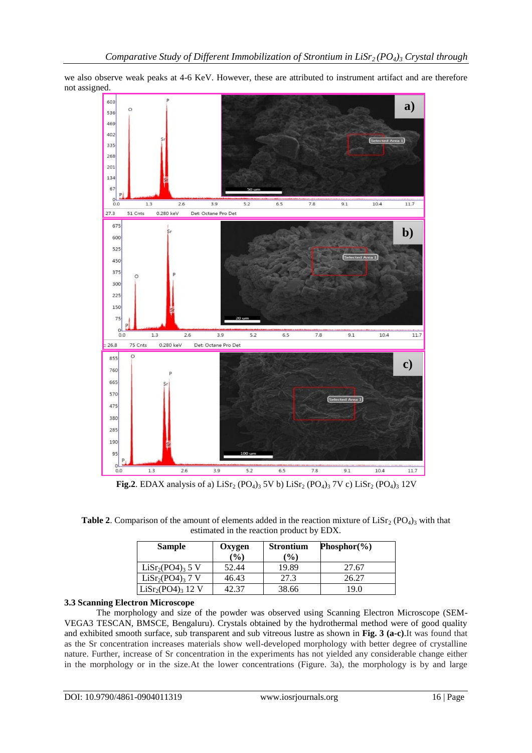we also observe weak peaks at 4-6 KeV. However, these are attributed to instrument artifact and are therefore not assigned.



**Fig.2**. EDAX analysis of a) LiSr<sub>2</sub> (PO<sub>4</sub>)<sub>3</sub> 5V b) LiSr<sub>2</sub> (PO<sub>4</sub>)<sub>3</sub> 7V c) LiSr<sub>2</sub> (PO<sub>4</sub>)<sub>3</sub> 12V

**Table 2.** Comparison of the amount of elements added in the reaction mixture of  $List_{2}$  (PO<sub>4</sub>)<sub>3</sub> with that estimated in the reaction product by EDX.

| <b>Sample</b>                            | <b>Strontium</b><br>Oxygen |       | Phosphor $(\% )$ |  |
|------------------------------------------|----------------------------|-------|------------------|--|
|                                          | (%)                        | (%)   |                  |  |
| LiSr <sub>2</sub> (PO4) <sub>3</sub> 5 V | 52.44                      | 19.89 | 27.67            |  |
| LiSr <sub>2</sub> (PO4) <sub>3</sub> 7 V | 46.43                      | 27.3  | 26.27            |  |
| $LiSr2(PO4)3 12 V$                       | 42.37                      | 38.66 | 19.0             |  |

## **3.3 Scanning Electron Microscope**

The morphology and size of the powder was observed using Scanning Electron Microscope (SEM-VEGA3 TESCAN, BMSCE, Bengaluru). Crystals obtained by the hydrothermal method were of good quality and exhibited smooth surface, sub transparent and sub vitreous lustre as shown in **Fig. 3 (a-c)**.It was found that as the Sr concentration increases materials show well-developed morphology with better degree of crystalline nature. Further, increase of Sr concentration in the experiments has not yielded any considerable change either in the morphology or in the size.At the lower concentrations (Figure. 3a), the morphology is by and large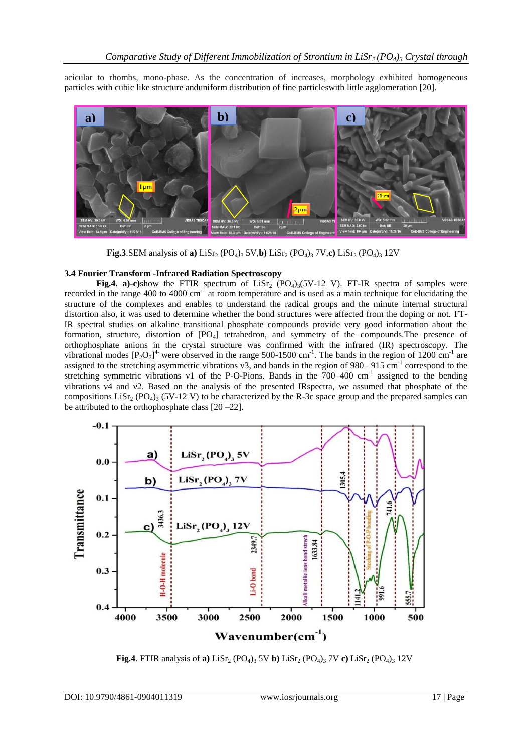acicular to rhombs, mono-phase. As the concentration of increases, morphology exhibited homogeneous particles with cubic like structure anduniform distribution of fine particleswith little agglomeration [20].



**Fig.3.SEM** analysis of **a**) LiSr<sub>2</sub> (PO<sub>4</sub>)<sub>3</sub> 5V,**b**) LiSr<sub>2</sub> (PO<sub>4</sub>)<sub>3</sub> 7V,**c**) LiSr<sub>2</sub> (PO<sub>4</sub>)<sub>3</sub> 12V

## **3.4 Fourier Transform -Infrared Radiation Spectroscopy**

**Fig.4.** a)-c)show the FTIR spectrum of LiSr<sub>2</sub> (PO<sub>4</sub>)<sub>3</sub>(5V-12 V). FT-IR spectra of samples were recorded in the range 400 to 4000 cm<sup>-1</sup> at room temperature and is used as a main technique for elucidating the structure of the complexes and enables to understand the radical groups and the minute internal structural distortion also, it was used to determine whether the bond structures were affected from the doping or not. FT-IR spectral studies on alkaline transitional phosphate compounds provide very good information about the formation, structure, distortion of [PO<sub>4</sub>] tetrahedron, and symmetry of the compounds. The presence of orthophosphate anions in the crystal structure was confirmed with the infrared (IR) spectroscopy. The vibrational modes  $[P_2O_7]^4$  were observed in the range 500-1500 cm<sup>-1</sup>. The bands in the region of 1200 cm<sup>-1</sup> are assigned to the stretching asymmetric vibrations  $v3$ , and bands in the region of 980–915 cm<sup>-1</sup> correspond to the stretching symmetric vibrations v1 of the P-O-Pions. Bands in the 700-400 cm<sup>-1</sup> assigned to the bending vibrations ν4 and ν2. Based on the analysis of the presented IRspectra, we assumed that phosphate of the compositions LiSr<sub>2</sub> (PO<sub>4</sub>)<sub>3</sub> (5V-12 V) to be characterized by the R-3c space group and the prepared samples can be attributed to the orthophosphate class [20 –22].



**Fig.4**. FTIR analysis of **a**) LiSr<sub>2</sub> (PO<sub>4</sub>)<sub>3</sub> 5V **b**) LiSr<sub>2</sub> (PO<sub>4</sub>)<sub>3</sub> 7V **c**) LiSr<sub>2</sub> (PO<sub>4</sub>)<sub>3</sub> 12V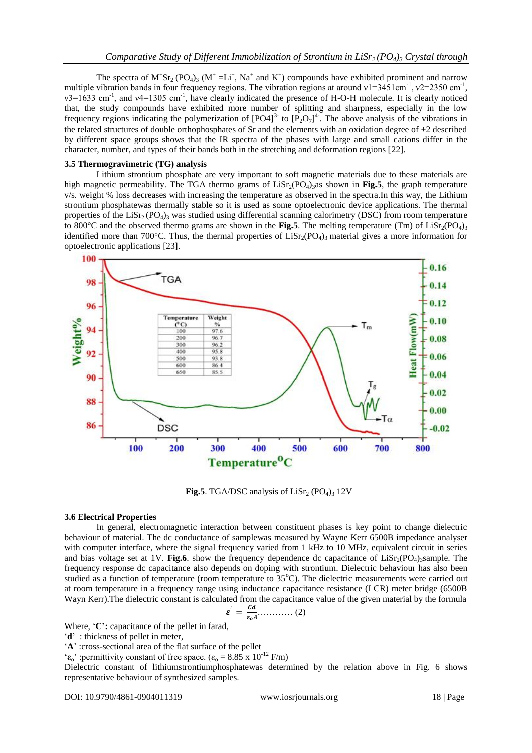The spectra of  $M^+Sr_2 (PO_4)_3 (M^+ = Li^+, Na^+$  and  $K^+$ ) compounds have exhibited prominent and narrow multiple vibration bands in four frequency regions. The vibration regions at around  $v1=3451 \text{cm}^{-1}$ ,  $v2=2350 \text{cm}^{-1}$ ,  $v3=1633$  cm<sup>-1</sup>, and v4=1305 cm<sup>-1</sup>, have clearly indicated the presence of H-O-H molecule. It is clearly noticed that, the study compounds have exhibited more number of splitting and sharpness, especially in the low frequency regions indicating the polymerization of  $[PO4]^{3-}$  to  $[PO7]^{4-}$ . The above analysis of the vibrations in the related structures of double orthophosphates of Sr and the elements with an oxidation degree of +2 described by different space groups shows that the IR spectra of the phases with large and small cations differ in the character, number, and types of their bands both in the stretching and deformation regions [22].

## **3.5 Thermogravimetric (TG) analysis**

Lithium strontium phosphate are very important to soft magnetic materials due to these materials are high magnetic permeability. The TGA thermo grams of  $Lisr_2(PO_4)$ <sub>3</sub>as shown in **Fig.5**, the graph temperature v/s. weight % loss decreases with increasing the temperature as observed in the spectra.In this way, the Lithium strontium phosphatewas thermally stable so it is used as some optoelectronic device applications. The thermal properties of the LiSr<sub>2</sub> (PO<sub>4</sub>)<sub>3</sub> was studied using differential scanning calorimetry (DSC) from room temperature to 800 $^{\circ}$ C and the observed thermo grams are shown in the **Fig.5**. The melting temperature (Tm) of LiSr<sub>2</sub>(PO<sub>4</sub>)<sub>3</sub> identified more than 700 $^{\circ}$ C. Thus, the thermal properties of LiSr<sub>2</sub>(PO<sub>4</sub>)<sub>3</sub> material gives a more information for optoelectronic applications [23].



**Fig.5**. TGA/DSC analysis of  $Lisr_2 (PO_4)_3 12V$ 

## **3.6 Electrical Properties**

In general, electromagnetic interaction between constituent phases is key point to change dielectric behaviour of material. The dc conductance of samplewas measured by Wayne Kerr 6500B impedance analyser with computer interface, where the signal frequency varied from 1 kHz to 10 MHz, equivalent circuit in series and bias voltage set at 1V. **Fig.6**. show the frequency dependence dc capacitance of  $Lis_{r}(PQ_{4})$ <sub>3</sub>sample. The frequency response dc capacitance also depends on doping with strontium. Dielectric behaviour has also been studied as a function of temperature (room temperature to  $35^{\circ}$ C). The dielectric measurements were carried out at room temperature in a frequency range using inductance capacitance resistance (LCR) meter bridge (6500B Wayn Kerr).The dielectric constant is calculated from the capacitance value of the given material by the formula

$$
\varepsilon' = \frac{c d}{\varepsilon_o A} \tag{2}
$$

Where, 'C': capacitance of the pellet in farad,

'**d**' : thickness of pellet in meter,

'**A**' :cross-sectional area of the flat surface of the pellet

'**ε**<sub>o</sub>' :permittivity constant of free space. ( $\varepsilon$ <sub>o</sub> = 8.85 x 10<sup>-12</sup> F/m)

Dielectric constant of lithiumstrontiumphosphatewas determined by the relation above in Fig. 6 shows representative behaviour of synthesized samples.